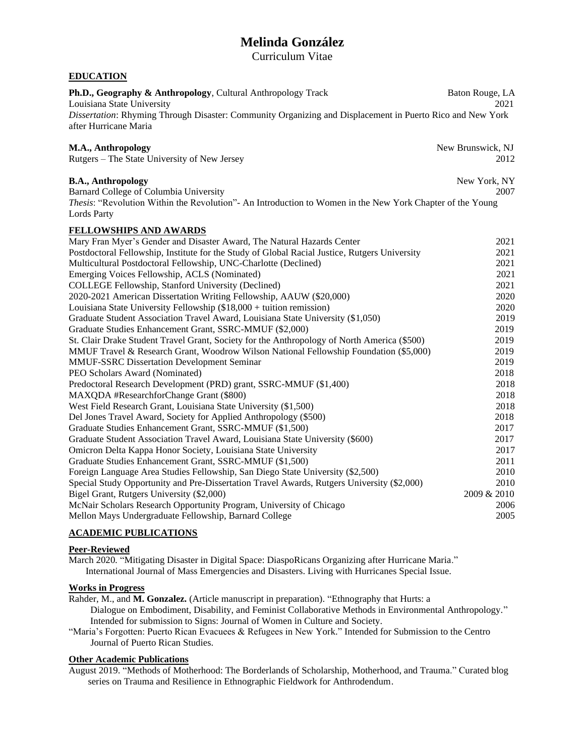# **Melinda González**

Curriculum Vitae

# **EDUCATION**

| Ph.D., Geography & Anthropology, Cultural Anthropology Track<br>Louisiana State University<br>Dissertation: Rhyming Through Disaster: Community Organizing and Displacement in Puerto Rico and New York<br>after Hurricane Maria | Baton Rouge, LA<br>2021   |
|----------------------------------------------------------------------------------------------------------------------------------------------------------------------------------------------------------------------------------|---------------------------|
| M.A., Anthropology<br>Rutgers – The State University of New Jersey                                                                                                                                                               | New Brunswick, NJ<br>2012 |
| <b>B.A., Anthropology</b><br>Barnard College of Columbia University<br>Thesis: "Revolution Within the Revolution"- An Introduction to Women in the New York Chapter of the Young<br><b>Lords Party</b>                           | New York, NY<br>2007      |
| <b>FELLOWSHIPS AND AWARDS</b>                                                                                                                                                                                                    |                           |
| Mary Fran Myer's Gender and Disaster Award, The Natural Hazards Center                                                                                                                                                           | 2021                      |
| Postdoctoral Fellowship, Institute for the Study of Global Racial Justice, Rutgers University                                                                                                                                    | 2021                      |
| Multicultural Postdoctoral Fellowship, UNC-Charlotte (Declined)                                                                                                                                                                  | 2021                      |
| Emerging Voices Fellowship, ACLS (Nominated)                                                                                                                                                                                     | 2021                      |
| COLLEGE Fellowship, Stanford University (Declined)                                                                                                                                                                               | 2021                      |
| 2020-2021 American Dissertation Writing Fellowship, AAUW (\$20,000)                                                                                                                                                              | 2020                      |
| Louisiana State University Fellowship (\$18,000 + tuition remission)                                                                                                                                                             | 2020                      |
| Graduate Student Association Travel Award, Louisiana State University (\$1,050)                                                                                                                                                  | 2019                      |
| Graduate Studies Enhancement Grant, SSRC-MMUF (\$2,000)                                                                                                                                                                          | 2019                      |
| St. Clair Drake Student Travel Grant, Society for the Anthropology of North America (\$500)                                                                                                                                      | 2019                      |
| MMUF Travel & Research Grant, Woodrow Wilson National Fellowship Foundation (\$5,000)                                                                                                                                            | 2019                      |
| <b>MMUF-SSRC Dissertation Development Seminar</b>                                                                                                                                                                                | 2019                      |
| PEO Scholars Award (Nominated)                                                                                                                                                                                                   | 2018                      |
| Predoctoral Research Development (PRD) grant, SSRC-MMUF (\$1,400)                                                                                                                                                                | 2018                      |
| MAXQDA #ResearchforChange Grant (\$800)                                                                                                                                                                                          | 2018                      |
| West Field Research Grant, Louisiana State University (\$1,500)                                                                                                                                                                  | 2018                      |
| Del Jones Travel Award, Society for Applied Anthropology (\$500)                                                                                                                                                                 | 2018                      |
| Graduate Studies Enhancement Grant, SSRC-MMUF (\$1,500)                                                                                                                                                                          | 2017                      |
| Graduate Student Association Travel Award, Louisiana State University (\$600)                                                                                                                                                    | 2017                      |
| Omicron Delta Kappa Honor Society, Louisiana State University                                                                                                                                                                    | 2017                      |
| Graduate Studies Enhancement Grant, SSRC-MMUF (\$1,500)                                                                                                                                                                          | 2011                      |
| Foreign Language Area Studies Fellowship, San Diego State University (\$2,500)                                                                                                                                                   | 2010                      |
| Special Study Opportunity and Pre-Dissertation Travel Awards, Rutgers University (\$2,000)                                                                                                                                       | 2010                      |
| Bigel Grant, Rutgers University (\$2,000)                                                                                                                                                                                        | 2009 & 2010               |
| McNair Scholars Research Opportunity Program, University of Chicago                                                                                                                                                              | 2006                      |
| Mellon Mays Undergraduate Fellowship, Barnard College                                                                                                                                                                            | 2005                      |

### **ACADEMIC PUBLICATIONS**

# **Peer-Reviewed**

March 2020*.* "Mitigating Disaster in Digital Space: DiaspoRicans Organizing after Hurricane Maria." International Journal of Mass Emergencies and Disasters. Living with Hurricanes Special Issue.

# **Works in Progress**

Rahder, M., and **M. Gonzalez.** (Article manuscript in preparation). "Ethnography that Hurts: a Dialogue on Embodiment, Disability, and Feminist Collaborative Methods in Environmental Anthropology." Intended for submission to Signs: Journal of Women in Culture and Society.

"Maria's Forgotten: Puerto Rican Evacuees & Refugees in New York." Intended for Submission to the Centro Journal of Puerto Rican Studies.

## **Other Academic Publications**

August 2019. "Methods of Motherhood: The Borderlands of Scholarship, Motherhood, and Trauma." Curated blog series on Trauma and Resilience in Ethnographic Fieldwork for Anthrodendum.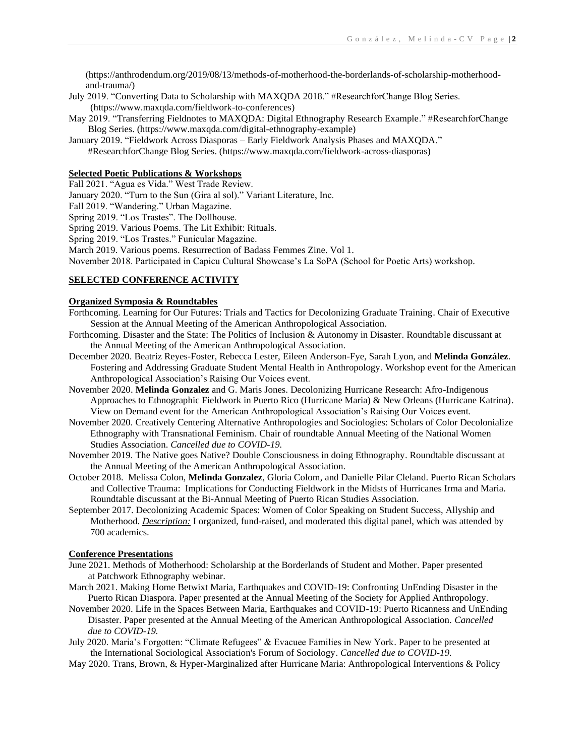(https://anthrodendum.org/2019/08/13/methods-of-motherhood-the-borderlands-of-scholarship-motherhood and-trauma/)

- July 2019. "Converting Data to Scholarship with MAXQDA 2018." #ResearchforChange Blog Series. (https://www.maxqda.com/fieldwork-to-conferences)
- May 2019. "Transferring Fieldnotes to MAXQDA: Digital Ethnography Research Example." #ResearchforChange Blog Series. (https://www.maxqda.com/digital-ethnography-example)
- January 2019. "Fieldwork Across Diasporas Early Fieldwork Analysis Phases and MAXQDA." #ResearchforChange Blog Series. (https://www.maxqda.com/fieldwork-across-diasporas)

### **Selected Poetic Publications & Workshops**

Fall 2021. "Agua es Vida." West Trade Review.

January 2020. "Turn to the Sun (Gira al sol)." Variant Literature, Inc.

Fall 2019. "Wandering." Urban Magazine.

Spring 2019. "Los Trastes". The Dollhouse.

Spring 2019. Various Poems. The Lit Exhibit: Rituals.

Spring 2019. "Los Trastes." Funicular Magazine.

March 2019. Various poems. Resurrection of Badass Femmes Zine. Vol 1.

November 2018. Participated in Capicu Cultural Showcase's La SoPA (School for Poetic Arts) workshop.

#### **SELECTED CONFERENCE ACTIVITY**

#### **Organized Symposia & Roundtables**

- Forthcoming. Learning for Our Futures: Trials and Tactics for Decolonizing Graduate Training. Chair of Executive Session at the Annual Meeting of the American Anthropological Association.
- Forthcoming. Disaster and the State: The Politics of Inclusion & Autonomy in Disaster. Roundtable discussant at the Annual Meeting of the American Anthropological Association.
- December 2020. Beatriz Reyes-Foster, Rebecca Lester, Eileen Anderson-Fye, Sarah Lyon, and **Melinda González**. Fostering and Addressing Graduate Student Mental Health in Anthropology. Workshop event for the American Anthropological Association's Raising Our Voices event.
- November 2020. **Melinda Gonzalez** and G. Maris Jones. Decolonizing Hurricane Research: Afro-Indigenous Approaches to Ethnographic Fieldwork in Puerto Rico (Hurricane Maria) & New Orleans (Hurricane Katrina). View on Demand event for the American Anthropological Association's Raising Our Voices event.
- November 2020. Creatively Centering Alternative Anthropologies and Sociologies: Scholars of Color Decolonialize Ethnography with Transnational Feminism. Chair of roundtable Annual Meeting of the National Women Studies Association. *Cancelled due to COVID-19.*
- November 2019. The Native goes Native? Double Consciousness in doing Ethnography. Roundtable discussant at the Annual Meeting of the American Anthropological Association.
- October 2018. Melissa Colon, **Melinda Gonzalez**, Gloria Colom, and Danielle Pilar Cleland. Puerto Rican Scholars and Collective Trauma: Implications for Conducting Fieldwork in the Midsts of Hurricanes Irma and Maria. Roundtable discussant at the Bi-Annual Meeting of Puerto Rican Studies Association.
- September 2017. Decolonizing Academic Spaces: Women of Color Speaking on Student Success, Allyship and Motherhood. *Description:* I organized, fund-raised, and moderated this digital panel, which was attended by 700 academics.

# **Conference Presentations**

- June 2021. Methods of Motherhood: Scholarship at the Borderlands of Student and Mother. Paper presented at Patchwork Ethnography webinar.
- March 2021. Making Home Betwixt Maria, Earthquakes and COVID-19: Confronting UnEnding Disaster in the Puerto Rican Diaspora. Paper presented at the Annual Meeting of the Society for Applied Anthropology.
- November 2020. Life in the Spaces Between Maria, Earthquakes and COVID-19: Puerto Ricanness and UnEnding Disaster. Paper presented at the Annual Meeting of the American Anthropological Association. *Cancelled due to COVID-19.*
- July 2020. Maria's Forgotten: "Climate Refugees" & Evacuee Families in New York. Paper to be presented at the International Sociological Association's Forum of Sociology. *Cancelled due to COVID-19.*
- May 2020. Trans, Brown, & Hyper-Marginalized after Hurricane Maria: Anthropological Interventions & Policy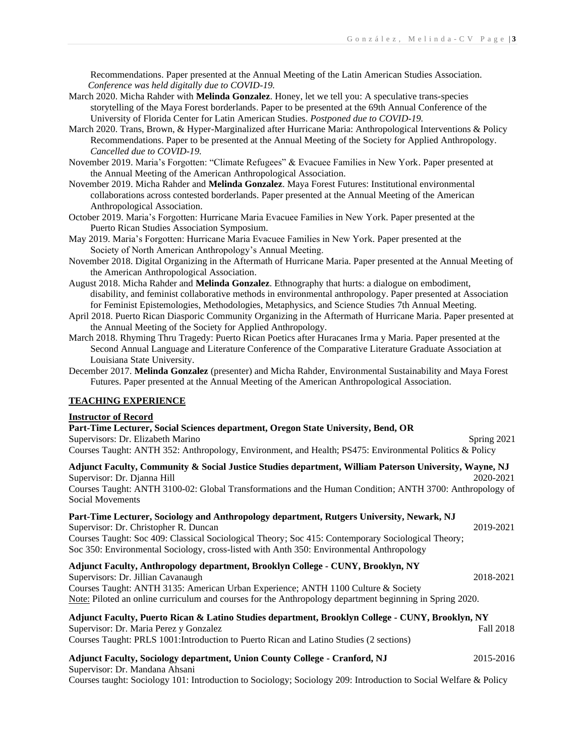Recommendations. Paper presented at the Annual Meeting of the Latin American Studies Association. *Conference was held digitally due to COVID-19.*

- March 2020. Micha Rahder with **Melinda Gonzalez**. Honey, let we tell you: A speculative trans-species storytelling of the Maya Forest borderlands. Paper to be presented at the 69th Annual Conference of the University of Florida Center for Latin American Studies. *Postponed due to COVID-19.*
- March 2020. Trans, Brown, & Hyper-Marginalized after Hurricane Maria: Anthropological Interventions & Policy Recommendations. Paper to be presented at the Annual Meeting of the Society for Applied Anthropology. *Cancelled due to COVID-19.*
- November 2019. Maria's Forgotten: "Climate Refugees" & Evacuee Families in New York. Paper presented at the Annual Meeting of the American Anthropological Association.
- November 2019. Micha Rahder and **Melinda Gonzalez**. Maya Forest Futures: Institutional environmental collaborations across contested borderlands. Paper presented at the Annual Meeting of the American Anthropological Association.
- October 2019. Maria's Forgotten: Hurricane Maria Evacuee Families in New York. Paper presented at the Puerto Rican Studies Association Symposium.
- May 2019. Maria's Forgotten: Hurricane Maria Evacuee Families in New York. Paper presented at the Society of North American Anthropology's Annual Meeting.
- November 2018. Digital Organizing in the Aftermath of Hurricane Maria. Paper presented at the Annual Meeting of the American Anthropological Association.
- August 2018. Micha Rahder and **Melinda Gonzalez**. Ethnography that hurts: a dialogue on embodiment, disability, and feminist collaborative methods in environmental anthropology. Paper presented at Association for Feminist Epistemologies, Methodologies, Metaphysics, and Science Studies 7th Annual Meeting.
- April 2018. Puerto Rican Diasporic Community Organizing in the Aftermath of Hurricane Maria. Paper presented at the Annual Meeting of the Society for Applied Anthropology.
- March 2018. Rhyming Thru Tragedy: Puerto Rican Poetics after Huracanes Irma y Maria. Paper presented at the Second Annual Language and Literature Conference of the Comparative Literature Graduate Association at Louisiana State University.
- December 2017. **Melinda Gonzalez** (presenter) and Micha Rahder, Environmental Sustainability and Maya Forest Futures. Paper presented at the Annual Meeting of the American Anthropological Association.

#### **TEACHING EXPERIENCE**

#### **Instructor of Record**

**Part-Time Lecturer, Social Sciences department, Oregon State University, Bend, OR** Supervisors: Dr. Elizabeth Marino Spring 2021 Courses Taught: ANTH 352: Anthropology, Environment, and Health; PS475: Environmental Politics & Policy

**Adjunct Faculty, Community & Social Justice Studies department, William Paterson University, Wayne, NJ** Supervisor: Dr. Djanna Hill 2020-2021

Courses Taught: ANTH 3100-02: Global Transformations and the Human Condition; ANTH 3700: Anthropology of Social Movements

| Part-Time Lecturer, Sociology and Anthropology department, Rutgers University, Newark, NJ          |           |
|----------------------------------------------------------------------------------------------------|-----------|
| Supervisor: Dr. Christopher R. Duncan                                                              | 2019-2021 |
| Courses Taught: Soc 409: Classical Sociological Theory; Soc 415: Contemporary Sociological Theory; |           |
| Soc 350: Environmental Sociology, cross-listed with Anth 350: Environmental Anthropology           |           |
|                                                                                                    |           |

**Adjunct Faculty, Anthropology department, Brooklyn College - CUNY, Brooklyn, NY**

Supervisors: Dr. Jillian Cavanaugh 2018-2021 Courses Taught: ANTH 3135: American Urban Experience; ANTH 1100 Culture & Society Note: Piloted an online curriculum and courses for the Anthropology department beginning in Spring 2020.

# **Adjunct Faculty, Puerto Rican & Latino Studies department, Brooklyn College - CUNY, Brooklyn, NY**

Supervisor: Dr. Maria Perez y Gonzalez Fall 2018 Courses Taught: PRLS 1001:Introduction to Puerto Rican and Latino Studies (2 sections)

#### **Adjunct Faculty, Sociology department, Union County College - Cranford, NJ** 2015-2016 Supervisor: Dr. Mandana Ahsani

Courses taught: Sociology 101: Introduction to Sociology; Sociology 209: Introduction to Social Welfare & Policy